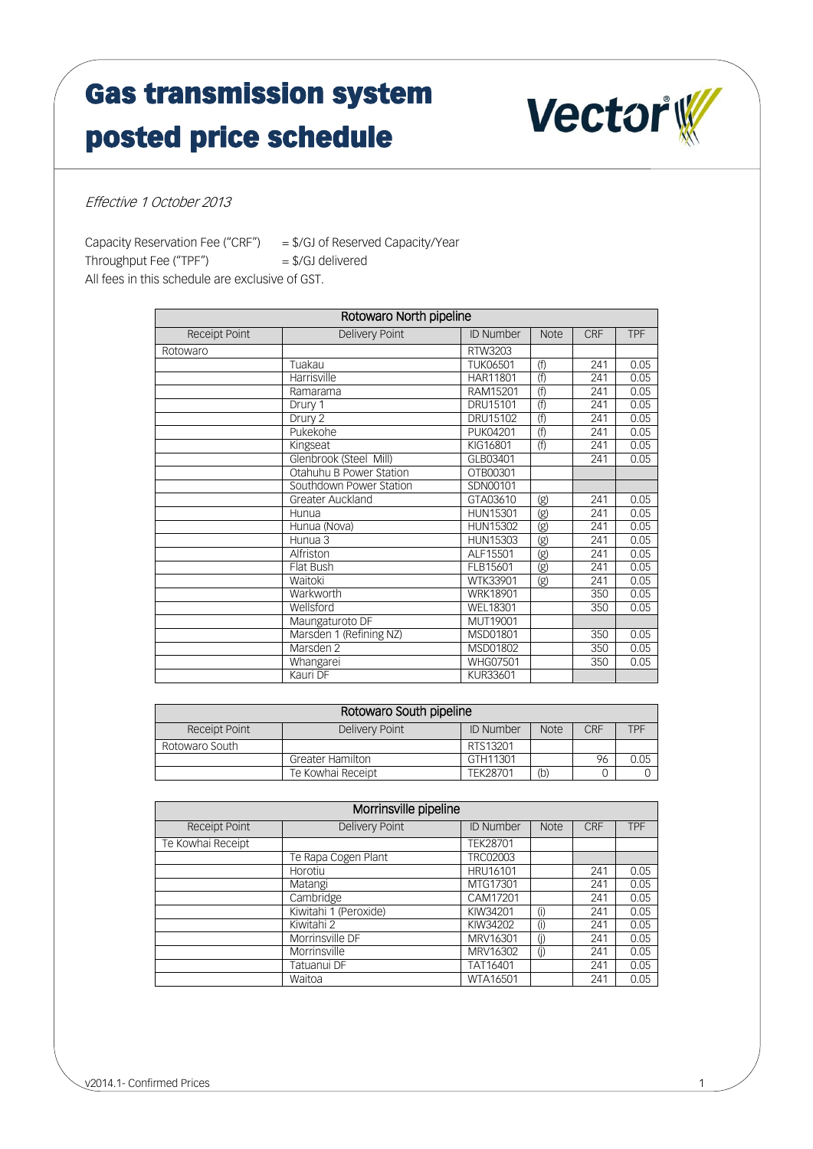## Gas transmission system posted price schedule



Effective 1 October 2013

Capacity Reservation Fee ("CRF") = \$/GJ of Reserved Capacity/Year Throughput Fee ("TPF") = \$/GJ delivered All fees in this schedule are exclusive of GST.

| Rotowaro North pipeline |                         |                  |                              |            |            |  |
|-------------------------|-------------------------|------------------|------------------------------|------------|------------|--|
| Receipt Point           | Delivery Point          | <b>ID Number</b> | <b>Note</b>                  | <b>CRF</b> | <b>TPF</b> |  |
| Rotowaro                |                         | RTW3203          |                              |            |            |  |
|                         | Tuakau                  | <b>TUK06501</b>  | (f)                          | 241        | 0.05       |  |
|                         | Harrisville             | HAR11801         | (f)                          | 241        | 0.05       |  |
|                         | Ramarama                | RAM15201         | (f)                          | 241        | 0.05       |  |
|                         | Drury 1                 | DRU15101         | (f)                          | 241        | 0.05       |  |
|                         | Drury 2                 | DRU15102         | (f)                          | 241        | 0.05       |  |
|                         | Pukekohe                | <b>PUK04201</b>  | (f)                          | 241        | 0.05       |  |
|                         | Kingseat                | KIG16801         | (f)                          | 241        | 0.05       |  |
|                         | Glenbrook (Steel Mill)  | GLB03401         |                              | 241        | 0.05       |  |
|                         | Otahuhu B Power Station | OTB00301         |                              |            |            |  |
|                         | Southdown Power Station | SDN00101         |                              |            |            |  |
|                         | Greater Auckland        | GTA03610         | (g)                          | 241        | 0.05       |  |
|                         | Hunua                   | <b>HUN15301</b>  | $\overline{\textcircled{g}}$ | 241        | 0.05       |  |
|                         | Hunua (Nova)            | HUN15302         | $\overline{\textcircled{g}}$ | 241        | 0.05       |  |
|                         | Hunua 3                 | HUN15303         | (g)                          | 241        | 0.05       |  |
|                         | Alfriston               | ALF15501         | $\overline{\textcircled{g}}$ | 241        | 0.05       |  |
|                         | Flat Bush               | FLB15601         | $\overline{\textcircled{g}}$ | 241        | 0.05       |  |
|                         | Waitoki                 | WTK33901         | (g)                          | 241        | 0.05       |  |
|                         | Warkworth               | <b>WRK18901</b>  |                              | 350        | 0.05       |  |
|                         | Wellsford               | <b>WEL18301</b>  |                              | 350        | 0.05       |  |
|                         | Maungaturoto DF         | MUT19001         |                              |            |            |  |
|                         | Marsden 1 (Refining NZ) | MSD01801         |                              | 350        | 0.05       |  |
|                         | Marsden <sub>2</sub>    | MSD01802         |                              | 350        | 0.05       |  |
|                         | Whangarei               | <b>WHG07501</b>  |                              | 350        | 0.05       |  |
|                         | Kauri DF                | <b>KUR33601</b>  |                              |            |            |  |

| Rotowaro South pipeline |                         |                  |             |     |            |
|-------------------------|-------------------------|------------------|-------------|-----|------------|
| Receipt Point           | Delivery Point          | <b>ID Number</b> | <b>Note</b> | CRF | <b>TPF</b> |
| Rotowaro South          |                         | RTS13201         |             |     |            |
|                         | <b>Greater Hamilton</b> | GTH11301         |             | 96  | 0.05       |
|                         | Te Kowhai Receipt       | TEK28701         | (b)         |     |            |

| Morrinsville pipeline |                       |                  |             |            |            |  |
|-----------------------|-----------------------|------------------|-------------|------------|------------|--|
| <b>Receipt Point</b>  | <b>Delivery Point</b> | <b>ID Number</b> | <b>Note</b> | <b>CRF</b> | <b>TPF</b> |  |
| Te Kowhai Receipt     |                       | TEK28701         |             |            |            |  |
|                       | Te Rapa Cogen Plant   | TRC02003         |             |            |            |  |
|                       | Horotiu               | HRU16101         |             | 241        | 0.05       |  |
|                       | Matangi               | MTG17301         |             | 241        | 0.05       |  |
|                       | Cambridge             | CAM17201         |             | 241        | 0.05       |  |
|                       | Kiwitahi 1 (Peroxide) | KIW34201         | (i)         | 241        | 0.05       |  |
|                       | Kiwitahi 2            | KIW34202         | $^{(1)}$    | 241        | 0.05       |  |
|                       | Morrinsville DF       | MRV16301         | (i)         | 241        | 0.05       |  |
|                       | Morrinsville          | MRV16302         | (i)         | 241        | 0.05       |  |
|                       | Tatuanui DF           | TAT16401         |             | 241        | 0.05       |  |
|                       | Waitoa                | WTA16501         |             | 241        | 0.05       |  |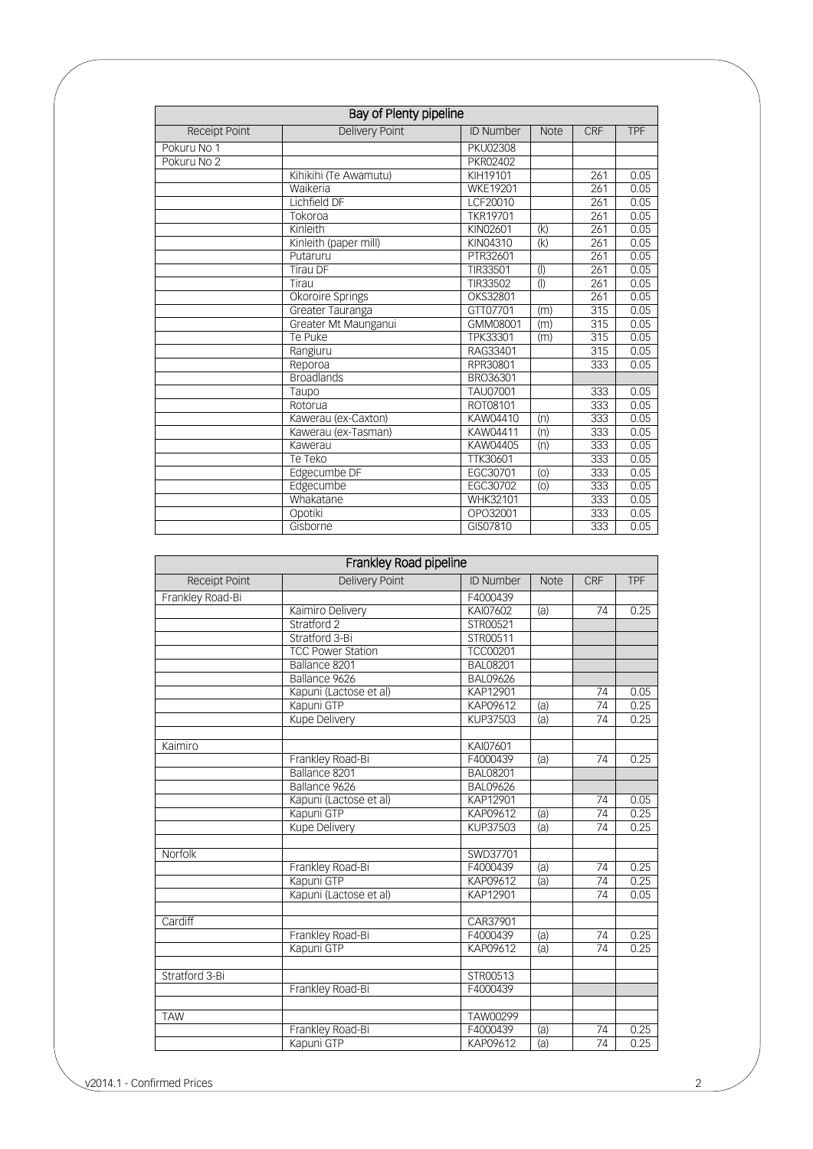| Bay of Plenty pipeline |                       |                  |             |                  |            |
|------------------------|-----------------------|------------------|-------------|------------------|------------|
| <b>Receipt Point</b>   | <b>Delivery Point</b> | <b>ID Number</b> | <b>Note</b> | <b>CRF</b>       | <b>TPF</b> |
| Pokuru No 1            |                       | <b>PKU02308</b>  |             |                  |            |
| Pokuru No 2            |                       | PKR02402         |             |                  |            |
|                        | Kihikihi (Te Awamutu) | KIH19101         |             | 261              | 0.05       |
|                        | Waikeria              | <b>WKE19201</b>  |             | 261              | 0.05       |
|                        | Lichfield DF          | LCF20010         |             | 261              | 0.05       |
|                        | Tokoroa               | <b>TKR19701</b>  |             | 261              | 0.05       |
|                        | Kinleith              | KIN02601         | (k)         | 261              | 0.05       |
|                        | Kinleith (paper mill) | KIN04310         | (k)         | 261              | 0.05       |
|                        | Putaruru              | PTR32601         |             | 261              | 0.05       |
|                        | <b>Tirau DF</b>       | TIR33501         | $($ l $)$   | 261              | 0.05       |
|                        | Tirau                 | TIR33502         | (           | 261              | 0.05       |
|                        | Okoroire Springs      | OKS32801         |             | 261              | 0.05       |
|                        | Greater Tauranga      | GTT07701         | (m)         | 315              | 0.05       |
|                        | Greater Mt Maunganui  | GMM08001         | (m)         | 315              | 0.05       |
|                        | Te Puke               | TPK33301         | (m)         | 315              | 0.05       |
|                        | Rangiuru              | RAG33401         |             | $\overline{315}$ | 0.05       |
|                        | Reporoa               | RPR30801         |             | $\overline{333}$ | 0.05       |
|                        | <b>Broadlands</b>     | BRO36301         |             |                  |            |
|                        | Taupo                 | <b>TAU07001</b>  |             | 333              | 0.05       |
|                        | Rotorua               | ROT08101         |             | 333              | 0.05       |
|                        | Kawerau (ex-Caxton)   | KAW04410         | (n)         | 333              | 0.05       |
|                        | Kawerau (ex-Tasman)   | KAW04411         | (n)         | 333              | 0.05       |
|                        | Kawerau               | KAW04405         | (n)         | 333              | 0.05       |
|                        | Te Teko               | TTK30601         |             | 333              | 0.05       |
|                        | Edgecumbe DF          | EGC30701         | (0)         | 333              | 0.05       |
|                        | Edgecumbe             | EGC30702         | (0)         | 333              | 0.05       |
|                        | Whakatane             | WHK32101         |             | 333              | 0.05       |
|                        | Opotiki               | OPO32001         |             | 333              | 0.05       |
|                        | Gisborne              | GIS07810         |             | 333              | 0.05       |

|                  | Frankley Road pipeline   |                  |             |                 |            |
|------------------|--------------------------|------------------|-------------|-----------------|------------|
| Receipt Point    | Delivery Point           | <b>ID Number</b> | <b>Note</b> | <b>CRF</b>      | <b>TPF</b> |
| Frankley Road-Bi |                          | F4000439         |             |                 |            |
|                  | Kaimiro Delivery         | KAI07602         | (a)         | $\overline{74}$ | 0.25       |
|                  | Stratford 2              | STR00521         |             |                 |            |
|                  | Stratford 3-Bi           | STR00511         |             |                 |            |
|                  | <b>TCC Power Station</b> | <b>TCC00201</b>  |             |                 |            |
|                  | Ballance 8201            | <b>BAL08201</b>  |             |                 |            |
|                  | Ballance 9626            | <b>BAL09626</b>  |             |                 |            |
|                  | Kapuni (Lactose et al)   | KAP12901         |             | 74              | 0.05       |
|                  | Kapuni GTP               | KAP09612         | (a)         | $\overline{74}$ | 0.25       |
|                  | Kupe Delivery            | KUP37503         | (a)         | 74              | 0.25       |
| Kaimiro          |                          | KAI07601         |             |                 |            |
|                  | Frankley Road-Bi         | F4000439         | (a)         | 74              | 0.25       |
|                  | Ballance 8201            | <b>BAL08201</b>  |             |                 |            |
|                  | Ballance 9626            | <b>BAL09626</b>  |             |                 |            |
|                  | Kapuni (Lactose et al)   | KAP12901         |             | 74              | 0.05       |
|                  | Kapuni GTP               | KAP09612         | (a)         | $\overline{74}$ | 0.25       |
|                  | <b>Kupe Delivery</b>     | <b>KUP37503</b>  | (a)         | 74              | 0.25       |
| Norfolk          |                          | SWD37701         |             |                 |            |
|                  | Frankley Road-Bi         | F4000439         | (a)         | 74              | 0.25       |
|                  | Kapuni GTP               | KAP09612         | (a)         | 74              | 0.25       |
|                  | Kapuni (Lactose et al)   | KAP12901         |             | 74              | 0.05       |
| Cardiff          |                          | CAR37901         |             |                 |            |
|                  | Frankley Road-Bi         | F4000439         | (a)         | 74              | 0.25       |
|                  | Kapuni GTP               | KAP09612         | (a)         | $\overline{74}$ | 0.25       |
| Stratford 3-Bi   |                          | STR00513         |             |                 |            |
|                  | Frankley Road-Bi         | F4000439         |             |                 |            |
|                  |                          |                  |             |                 |            |
| <b>TAW</b>       |                          | TAW00299         |             |                 |            |
|                  | Frankley Road-Bi         | F4000439         | (a)         | 74              | 0.25       |
|                  | Kapuni GTP               | KAP09612         | (a)         | 74              | 0.25       |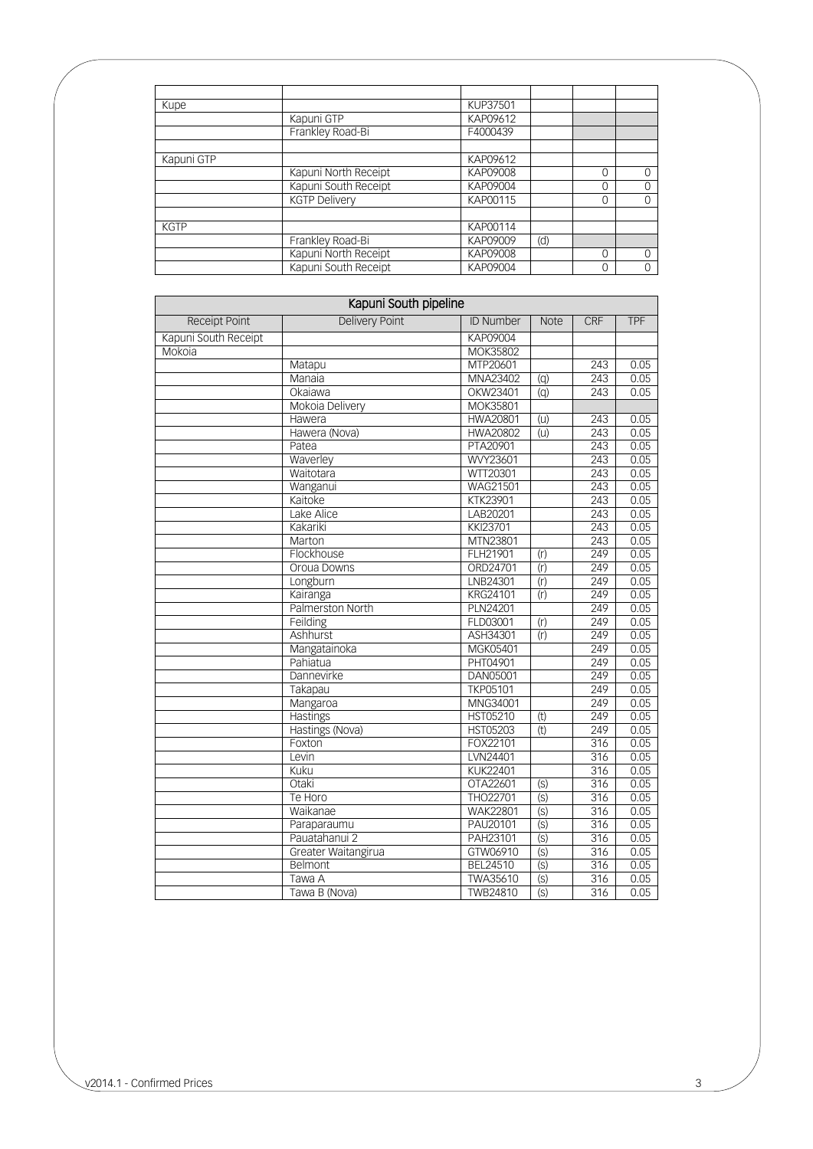| Kupe        | Kapuni GTP<br>Frankley Road-Bi<br>Kapuni North Receipt<br>Kapuni South Receipt<br><b>KGTP Delivery</b><br>Frankley Road-Bi<br>Kapuni North Receipt<br>Kapuni South Receipt | KUP37501 |     |   |          |
|-------------|----------------------------------------------------------------------------------------------------------------------------------------------------------------------------|----------|-----|---|----------|
|             |                                                                                                                                                                            | KAP09612 |     |   |          |
|             |                                                                                                                                                                            | F4000439 |     |   |          |
|             |                                                                                                                                                                            |          |     |   |          |
| Kapuni GTP  |                                                                                                                                                                            | KAP09612 |     |   |          |
|             |                                                                                                                                                                            | KAP09008 |     | Ω | $\Omega$ |
|             |                                                                                                                                                                            | KAP09004 |     | C | O        |
|             |                                                                                                                                                                            | KAP00115 |     | Ω | $\Omega$ |
|             |                                                                                                                                                                            |          |     |   |          |
| <b>KGTP</b> |                                                                                                                                                                            | KAP00114 |     |   |          |
|             |                                                                                                                                                                            | KAP09009 | (d) |   |          |
|             |                                                                                                                                                                            | KAP09008 |     | Ω | $\Omega$ |
|             |                                                                                                                                                                            | KAP09004 |     | Ω | 0        |

| Kapuni South pipeline |                       |                  |                |     |            |  |
|-----------------------|-----------------------|------------------|----------------|-----|------------|--|
| Receipt Point         | <b>Delivery Point</b> | <b>ID Number</b> | <b>Note</b>    | CRF | <b>TPF</b> |  |
| Kapuni South Receipt  |                       | KAP09004         |                |     |            |  |
| Mokoia                |                       | MOK35802         |                |     |            |  |
|                       | Matapu                | MTP20601         |                | 243 | 0.05       |  |
|                       | Manaia                | MNA23402         | $\overline{q}$ | 243 | 0.05       |  |
|                       | Okaiawa               | OKW23401         | $\overline{q}$ | 243 | 0.05       |  |
|                       | Mokoia Delivery       | MOK35801         |                |     |            |  |
|                       | Hawera                | <b>HWA20801</b>  | (u)            | 243 | 0.05       |  |
|                       | Hawera (Nova)         | <b>HWA20802</b>  | (u)            | 243 | 0.05       |  |
|                       | Patea                 | PTA20901         |                | 243 | 0.05       |  |
|                       | Waverley              | WVY23601         |                | 243 | 0.05       |  |
|                       | Waitotara             | WTT20301         |                | 243 | 0.05       |  |
|                       | Wanganui              | <b>WAG21501</b>  |                | 243 | 0.05       |  |
|                       | Kaitoke               | <b>KTK23901</b>  |                | 243 | 0.05       |  |
|                       | Lake Alice            | LAB20201         |                | 243 | 0.05       |  |
|                       | Kakariki              | KKI23701         |                | 243 | 0.05       |  |
|                       | Marton                | MTN23801         |                | 243 | 0.05       |  |
|                       | Flockhouse            | FLH21901         | (r)            | 249 | 0.05       |  |
|                       | Oroua Downs           | ORD24701         | (r)            | 249 | 0.05       |  |
|                       | Longburn              | LNB24301         | (r)            | 249 | 0.05       |  |
|                       | Kairanga              | KRG24101         | (r)            | 249 | 0.05       |  |
|                       | Palmerston North      | PLN24201         |                | 249 | 0.05       |  |
|                       | Feilding              | FLD03001         | (r)            | 249 | 0.05       |  |
|                       | Ashhurst              | ASH34301         | (r)            | 249 | 0.05       |  |
|                       | Mangatainoka          | MGK05401         |                | 249 | 0.05       |  |
|                       | Pahiatua              | PHT04901         |                | 249 | 0.05       |  |
|                       | Dannevirke            | DAN05001         |                | 249 | 0.05       |  |
|                       | Takapau               | <b>TKP05101</b>  |                | 249 | 0.05       |  |
|                       | Mangaroa              | MNG34001         |                | 249 | 0.05       |  |
|                       | <b>Hastings</b>       | <b>HST05210</b>  | (t)            | 249 | 0.05       |  |
|                       | Hastings (Nova)       | <b>HST05203</b>  | (t)            | 249 | 0.05       |  |
|                       | Foxton                | FOX22101         |                | 316 | 0.05       |  |
|                       | Levin                 | LVN24401         |                | 316 | 0.05       |  |
|                       | Kuku                  | <b>KUK22401</b>  |                | 316 | 0.05       |  |
|                       | Otaki                 | OTA22601         | (S)            | 316 | 0.05       |  |
|                       | Te Horo               | THO22701         | (S)            | 316 | 0.05       |  |
|                       | Waikanae              | <b>WAK22801</b>  | (S)            | 316 | 0.05       |  |
|                       | Paraparaumu           | PAU20101         | (S)            | 316 | 0.05       |  |
|                       | Pauatahanui 2         | PAH23101         | (S)            | 316 | 0.05       |  |
|                       | Greater Waitangirua   | GTW06910         | (S)            | 316 | 0.05       |  |
|                       | Belmont               | BEL24510         | (S)            | 316 | 0.05       |  |
|                       | Tawa A                | <b>TWA35610</b>  | (s)            | 316 | 0.05       |  |
|                       | Tawa B (Nova)         | <b>TWB24810</b>  | (s)            | 316 | 0.05       |  |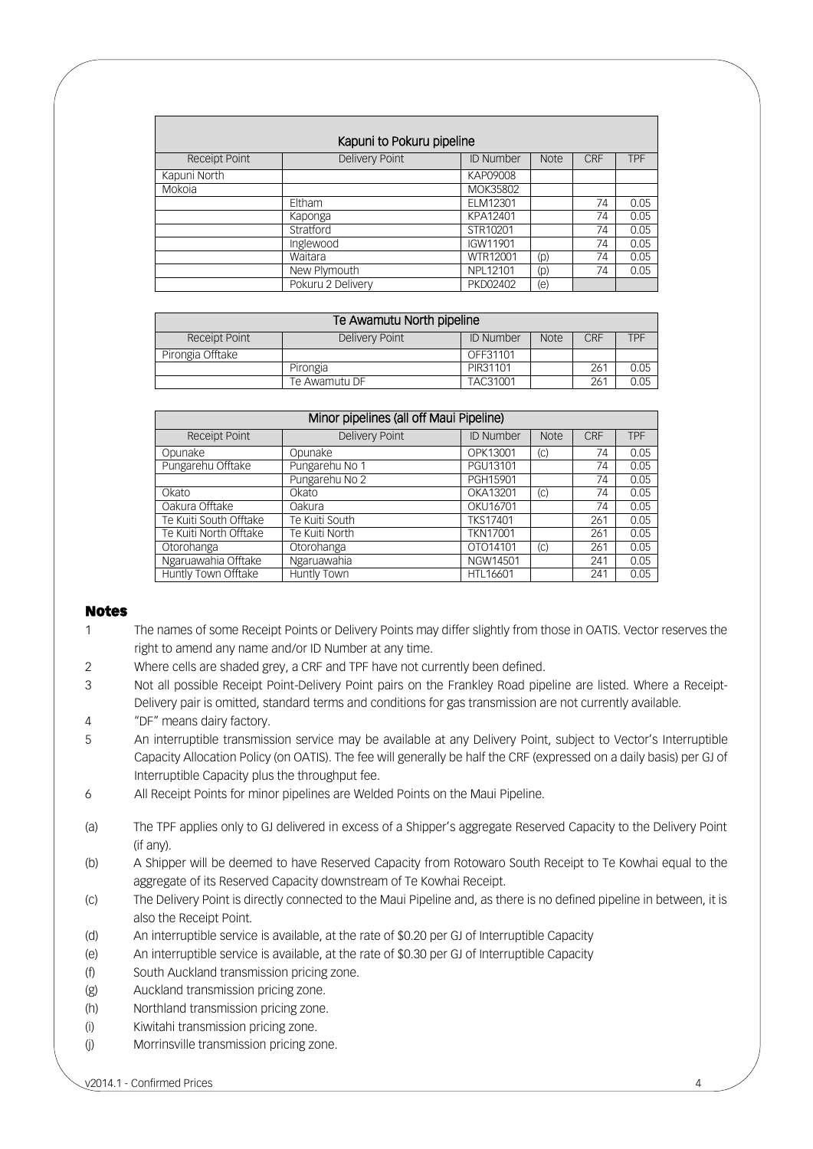| Kapuni to Pokuru pipeline |                   |                  |             |            |            |  |
|---------------------------|-------------------|------------------|-------------|------------|------------|--|
| <b>Receipt Point</b>      | Delivery Point    | <b>ID Number</b> | <b>Note</b> | <b>CRF</b> | <b>TPF</b> |  |
| Kapuni North              |                   | KAP09008         |             |            |            |  |
| Mokoja                    |                   | MOK35802         |             |            |            |  |
|                           | Eltham            | ELM12301         |             | 74         | 0.05       |  |
|                           | Kaponga           | KPA12401         |             | 74         | 0.05       |  |
|                           | Stratford         | STR10201         |             | 74         | 0.05       |  |
|                           | Inglewood         | IGW11901         |             | 74         | 0.05       |  |
|                           | Waitara           | WTR12001         | (p)         | 74         | 0.05       |  |
|                           | New Plymouth      | NPL12101         | (p)         | 74         | 0.05       |  |
|                           | Pokuru 2 Delivery | PKD02402         | (e)         |            |            |  |

| Te Awamutu North pipeline |                |                  |             |     |            |
|---------------------------|----------------|------------------|-------------|-----|------------|
| <b>Receipt Point</b>      | Delivery Point | <b>ID Number</b> | <b>Note</b> | CRF | <b>TPF</b> |
| Pirongia Offtake          |                | OFF31101         |             |     |            |
|                           | Pirongia       | PIR31101         |             | 261 | 0.05       |
|                           | Te Awamutu DF  | TAC31001         |             | 261 | 0.05       |

| Minor pipelines (all off Maui Pipeline) |                |                 |             |     |            |  |
|-----------------------------------------|----------------|-----------------|-------------|-----|------------|--|
| <b>Receipt Point</b>                    | Delivery Point | ID Number       | <b>Note</b> | CRF | <b>TPF</b> |  |
| Opunake                                 | Opunake        | OPK13001        | (C)         | 74  | 0.05       |  |
| Pungarehu Offtake                       | Pungarehu No 1 | PGU13101        |             | 74  | 0.05       |  |
|                                         | Pungarehu No 2 | PGH15901        |             | 74  | 0.05       |  |
| Okato                                   | Okato          | OKA13201        | (C)         | 74  | 0.05       |  |
| Oakura Offtake                          | Oakura         | OKU16701        |             | 74  | 0.05       |  |
| Te Kuiti South Offtake                  | Te Kuiti South | <b>TKS17401</b> |             | 261 | 0.05       |  |
| Te Kuiti North Offtake                  | Te Kuiti North | <b>TKN17001</b> |             | 261 | 0.05       |  |
| Otorohanga                              | Otorohanga     | OTO14101        | (C)         | 261 | 0.05       |  |
| Ngaruawahia Offtake                     | Ngaruawahia    | NGW14501        |             | 241 | 0.05       |  |
| Huntly Town Offtake                     | Huntly Town    | HTL16601        |             | 241 | 0.05       |  |
|                                         |                |                 |             |     |            |  |

## Notes

- 1 The names of some Receipt Points or Delivery Points may differ slightly from those in OATIS. Vector reserves the right to amend any name and/or ID Number at any time.
- 2 Where cells are shaded grey, a CRF and TPF have not currently been defined.
- 3 Not all possible Receipt Point-Delivery Point pairs on the Frankley Road pipeline are listed. Where a Receipt-Delivery pair is omitted, standard terms and conditions for gas transmission are not currently available.
- 4 "DF" means dairy factory.
- 5 An interruptible transmission service may be available at any Delivery Point, subject to Vector's Interruptible Capacity Allocation Policy (on OATIS). The fee will generally be half the CRF (expressed on a daily basis) per GJ of Interruptible Capacity plus the throughput fee.
- 6 All Receipt Points for minor pipelines are Welded Points on the Maui Pipeline.
- <span id="page-3-5"></span>(a) The TPF applies only to GJ delivered in excess of a Shipper's aggregate Reserved Capacity to the Delivery Point (if any).
- <span id="page-3-2"></span>(b) A Shipper will be deemed to have Reserved Capacity from Rotowaro South Receipt to Te Kowhai equal to the aggregate of its Reserved Capacity downstream of Te Kowhai Receipt.
- <span id="page-3-8"></span>(c) The Delivery Point is directly connected to the Maui Pipeline and, as there is no defined pipeline in between, it is also the Receipt Point.
- <span id="page-3-6"></span>(d) An interruptible service is available, at the rate of \$0.20 per GJ of Interruptible Capacity
- <span id="page-3-7"></span>(e) An interruptible service is available, at the rate of \$0.30 per GJ of Interruptible Capacity
- <span id="page-3-0"></span>(f) South Auckland transmission pricing zone.
- <span id="page-3-1"></span>(g) Auckland transmission pricing zone.
- (h) Northland transmission pricing zone.
- <span id="page-3-3"></span>(i) Kiwitahi transmission pricing zone.
- <span id="page-3-4"></span>(j) Morrinsville transmission pricing zone.

v2014.1 - Confirmed Prices 4